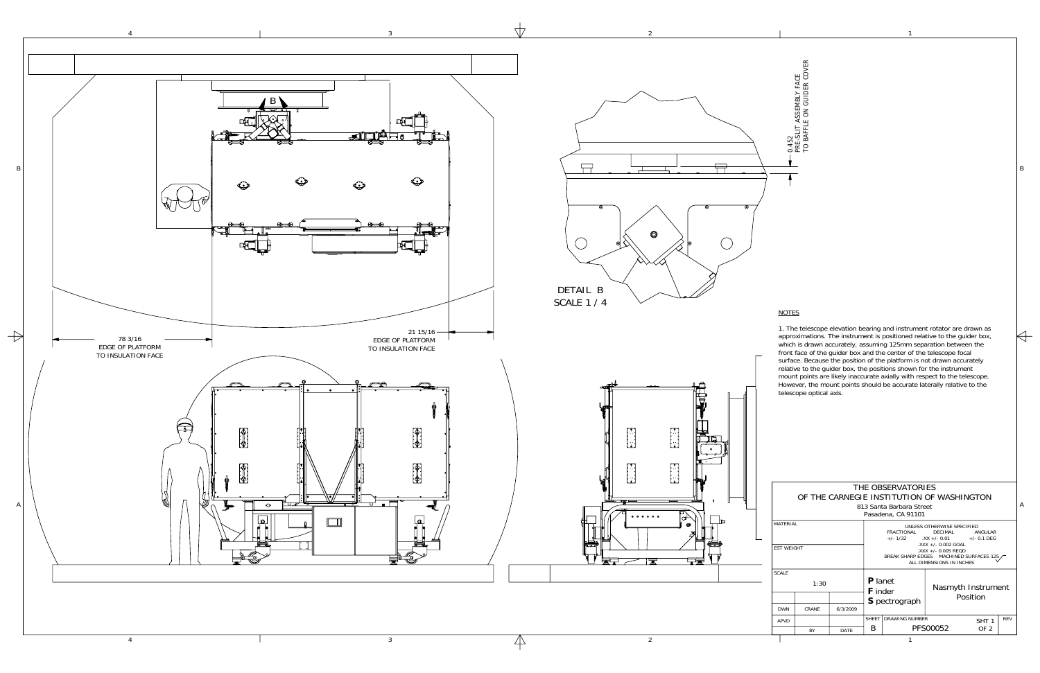1

 $\Leftrightarrow$ 

2

3



4

| THE OBSERVATORIES<br>OF THE CARNEGIE INSTITUTION OF WASHINGTON<br>813 Santa Barbara Street<br>Pasadena, CA 91101 |           |      |                                                                                                                                                                                                                                              |                       |                                |                                     |            |  |  |  |  |
|------------------------------------------------------------------------------------------------------------------|-----------|------|----------------------------------------------------------------------------------------------------------------------------------------------------------------------------------------------------------------------------------------------|-----------------------|--------------------------------|-------------------------------------|------------|--|--|--|--|
| MATFRIAI<br><b>EST WEIGHT</b>                                                                                    |           |      | UNI FSS OTHERWISE SPECIFIED<br><b>FRACTIONAL</b><br>DECIMAL<br>ANGUI AR<br>$+/- 1/32$ $+/- 0.01$ $+/- 0.1$ DFG<br>.XXX +/- 0.002 GOAL<br>$\lambda$ XXX +/- 0.005 REQD<br>BREAK SHARP EDGES MACHINED SURFACES 125<br>ALL DIMENSIONS IN INCHES |                       |                                |                                     |            |  |  |  |  |
| <b>SCALE</b><br>1:30<br>6/3/2009<br>CRANF<br><b>DWN</b>                                                          |           |      | <b>P</b> lanet<br><b>F</b> inder<br><b>S</b> pectrograph                                                                                                                                                                                     |                       | Nasmyth Instrument<br>Position |                                     |            |  |  |  |  |
| APVD                                                                                                             | <b>BY</b> | DATE | <b>SHFFT</b><br>B                                                                                                                                                                                                                            | <b>DRAWING NUMBER</b> | PFS00052                       | SHT <sub>1</sub><br>OF <sub>2</sub> | <b>REV</b> |  |  |  |  |
|                                                                                                                  |           |      |                                                                                                                                                                                                                                              |                       |                                |                                     |            |  |  |  |  |

0 . 4 5 2 PRE-SLIT A S S E M B L Y F A C E T O B A F F L E  $\lesssim$ G U I D E R C O V E R

## <u>NOTES</u>

1. The telescope elevation bearing and instrument rotator are drawn as approximations. The instrument is positioned relative to the guider box, which is drawn accurately, assuming 125mm separation between the front face of the guider box and the center of the telescope focal surface. Because the position of the platform is not drawn accurately relative to the guider box, the positions shown for the instrument mount points are likely inaccurate axially with respect to the telescope. However, the mount points should be accurate laterally relative to the telescope optical axis.